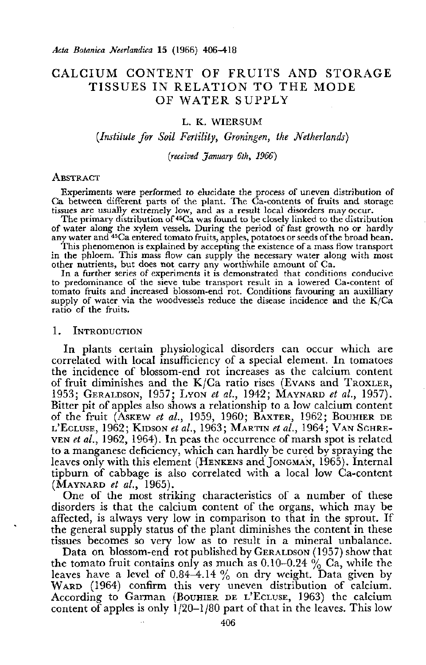# CALCIUM CONTENT OF FRUITS AND STORAGE TISSUES IN RELATION TO THE MODE OF WATER SUPPLY

#### L. K. WIERSUM

### *{Institute for Soil Fertility, Groningen, the Netherlands)*

*{received January 6th, 1966)* 

### **ABSTRACT**

Experiments were performed to elucidate the process of uneven distribution of Ca between different parts of the plant. The Ca-contents of fruits and storage tissues are usually extremely low, and as a result local disorders may occur.

The primary distribution of <sup>45</sup>Ca was found to be closely linked to the distri of water along the xylem vessels. During the period of fast growth no or hardly any water and  $^{45}\mathrm{Ca}$  entered tomato fruits, apples, potatoes or seeds of the broa

This phenomenon is explained by accepting the existence of a mass flow transport in the phloem. This mass flow can supply the necessary water along with most other nutrients, but does not carry any worthwhile amount o

In a further series of experiments it is demonstrated that conditions cond to predominance of the sieve tube transport result in a lowered Ca-content of tomato fruits and increased blossom-end rot. Conditions favouring an auxilliary supply of water via the woodvessels reduce the disease incidence and the K/Ca ratio of the fruits.

#### 1. INTRODUCTION

In plants certain physiological disorders can occur which are correlated with local insufficiency of a special element. In tomatoes the incidence of blossom-end rot increases as the calcium content of fruit diminishes and the K/Ca ratio rises (EVANS and TROXLER, 1953; GERALDSON, 1957; LYON *et al.,* 1942; MAYNARD *et al.,* 1957). Bitter pit of apples also shows a relationship to a low calcium content of the fruit (ASKEW *et al.,* 1959, 1960; BAXTER, 1962; BOUHIER DE L'ECLUSE, 1962; KIDSON *et al.,* 1963; MARTIN *et al.,* 1964; VAN SCHRE-VEN *et al.,* 1962, 1964). In peas the occurrence of marsh spot is related to a manganese deficiency, which can hardly be cured by spraying the leaves only with this element (HENKENS and JONGMAN, 1965). Internal tipburn of cabbage is also correlated with a local low Ca-content (MAYNARD *et al.,* 1965).

One of the most striking characteristics of a number of these disorders is that the calcium content of the organs, which may be affected, is always very low in comparison to that in the sprout. If the general supply status of the plant diminishes the content in these tissues becomes so very low as to result in a mineral unbalance.

Data on blossom-end rot published by GERALDSON (1957) show that the tomato fruit contains only as much as 0.10-0.24  $\%$  Ca, while the leaves have a level of 0.84–4.14  $\%$  on dry weight. Data giv WARD (1964) confirm this very uneven distribution of calc According to Garman (Bouhier De L'ECLUSE, 1963) the calc content of apples is only  $1/20-1/80$  part of that in the leaves. This low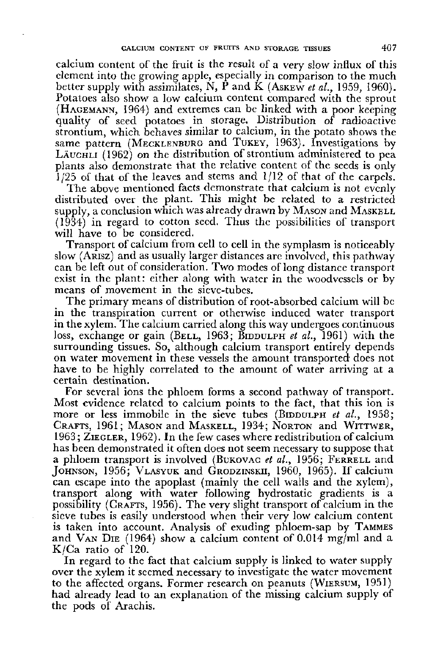calcium content of the fruit is the result of a very slow influx of this element into the growing apple, especially in comparison to the much better supply with assimilates,  $\acute{N}$ ,  $\acute{P}$  and  $\acute{K}$  (Askew *et al.*, 1959, 1960). Potatoes also show a low calcium content compared with the sprout (HAGEMANN, 1964) and extremes can be linked with a poor keeping quality of seed potatoes in storage. Distribution of radioactive strontium, which behaves similar to calcium, in the potato shows the same pattern (MECKLENBURG and TUKEY, 1963). Investigations by LÄUCHLI (1962) on the distribution of strontium administered to pea plants also demonstrate that the relative content of the seeds is only  $1/25$  of that of the leaves and stems and  $1/12$  of that of the carpels.

The above mentioned facts demonstrate that calcium is not evenly distributed over the plant. This might be related *to* a restricted supply, a conclusion which was already drawn by MASON and MASKELL (1934) in regard to cotton seed. Thus the possibilities of transport will have to be considered.

Transport of calcium from cell to cell in the symplasm is noticeably slow (ARISZ) and as usually larger distances are involved, this pathway can be left out of consideration. Two modes of long distance transport exist in the plant: either along with water in the woodvcsscls or by means of movement in the sieve-tubes.

The primary means of distribution of root-absorbed calcium will be in the transpiration current or otherwise induced water transport in the xylem. The calcium carried along this way undergoes continuous loss, exchange or gain (BELL, 1963; BIDDULPH *et al.,* 1961) with the surrounding tissues. So, although calcium transport entirely depends on water movement in these vessels the amount transported does not have to be highly correlated to the amount of water arriving at a certain destination.

For several ions the phloem forms a second pathway of transport. Most evidence related to calcium points to the fact, that this ion is more or less immobile in the sieve tubes (BIDDULPH *et al.,* 1958; CRAFTS, 1961; MASON and MASKELL, 1934; NORTON and WITTWER, 1963 ; ZIEGLER, 1962). In the few cases where redistribution of calcium has been demonstrated it often does not seem necessary to suppose that a phloem transport is involved (BUKOVAC *et al.,* 1956; FERRELL and JOHNSON, 1956; VLASYUK and GRODZINSKII, 1960, 1965). If calcium can escape into the apoplast (mainly the cell walls and the xylem), transport along with water following hydrostatic gradients is a possibility (CRAFTS, 1956). The very slight transport of calcium in the sieve tubes is easily understood when their very low calcium content is taken into account. Analysis of exuding phloem-sap by TAMMES and VAN DIE (1964) show a calcium content of 0.014 mg/ml and a K/Ca ratio of 120.

In regard to the fact that calcium supply is linked to water supply over the xylem it seemed necessary to investigate the water movement to the affected organs. Former research on peanuts (WIERSUM, 1951) had already lead to an explanation of the missing calcium supply of the pods of Arachis.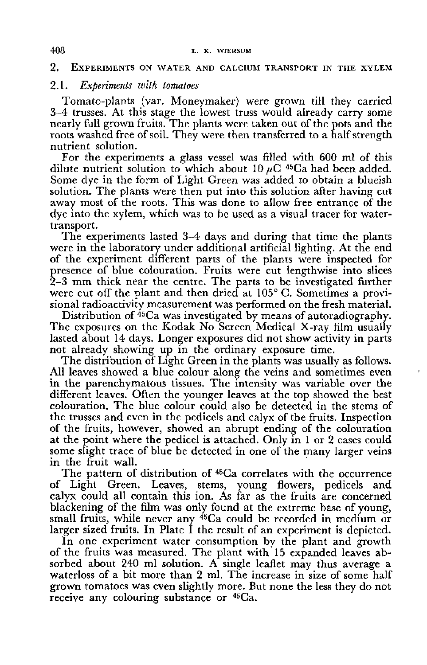# **2 . EXPERIMENT S O N WATE R AN D CALCIU M TRANSPOR T I N TH E XYLE M**

## 2.1. *Experiments with tomatoes*

Tomato-plants (var. Moneymaker) were grown till they carried 3-4 trusses. At this stage the lowest truss would already carry some nearly full grown fruits. The plants were taken out of the pots and the roots washed free of soil. They were then transferred to a half strength nutrient solution.

For the experiments a glass vessel was filled with 600 ml of this dilute nutrient solution to which about 10  $\mu$ C <sup>45</sup>Ca had been added. Some dye in the form of Light Green was added to obtain a blueish solution. The plants were then put into this solution after having cut away most of the roots. This was done to allow free entrance of the dye into the xylem, which was to be used as a visual tracer for watertransport.

The experiments lasted 3-4 days and during that time the plants were in the laboratory under additional artificial lighting. At the end of the experiment different parts of the plants were inspected for presence of blue colouration. Fruits were cut lengthwise into slices 2 -3 mm thick near the centre. The parts to be investigated further were cut off the plant and then dried at 105° C. Sometimes a provisional radioactivity measurement was performed on the fresh material.

Distribution of <sup>45</sup>Ca was investigated by means of autoradiogra The exposures on the Kodak No Screen Medical X-ray film usually lasted about 14 days. Longer exposures did not show activity in parts not already showing up in the ordinary exposure time.

The distribution of Light Green in the plants was usually as follows. All leaves showed a blue colour along the veins and sometimes even in the parenchymatous tissues. The intensity was variable over the different leaves. Often the younger leaves at the top showed the best colouration. The blue colour could also be detected in the stems of the trusses and even in the pedicels and calyx of the fruits. Inspection of the fruits, however, showed an abrupt ending of the colouration at the point where the pedicel is attached. Only in 1 or 2 cases could some slight trace of blue be detected in one of the many larger veins in the fruit wall.

The pattern of distribution of <sup>45</sup>Ca correlates with the occurr of Light Green. Leaves, stems, young flowers, pedicels and calyx could all contain this ion. As far as the fruits are concerned blackening of the film was only found at the extreme base of young, small fruits, while never any <sup>45</sup>Ca could be recorded in medi larger sized fruits. In Plate I the result of an experiment is depicted.

In one experiment water consumption by the plant and growth of the fruits was measured. The plant with 15 expanded leav sorbed about  $240$  ml solution. A single leaflet may thus aver waterloss of a bit more than 2 ml. The increase in size of some half grown tomatoes was even slightly more. But none the less they do not receive any colouring substance or 450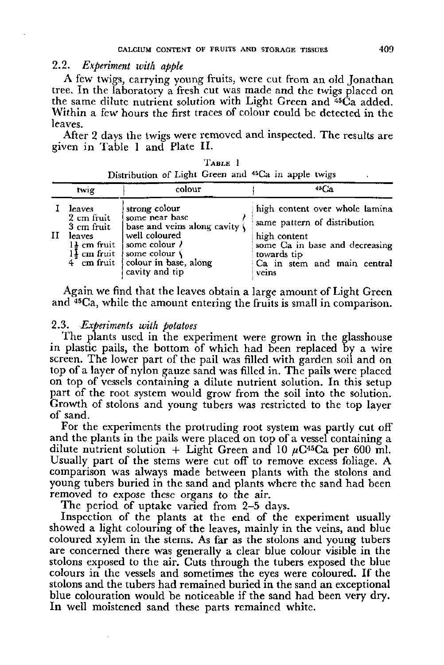# 2.2. *Experiment with apple*

A few twigs, carrying young fruits, were cut from an old Jonathan tree. In the laboratory a fresh cut was made and the twigs placed on the same dilute nutrient solution with Light Green and 45Ca a Within a few hours the first traces of colour could be detected in the leaves.

After 2 days the twigs were removed and inspected. The results are given in Table 1 and Plate II.

|   | twig                    | colour                                  | 45Ca                           |
|---|-------------------------|-----------------------------------------|--------------------------------|
| Н | leaves                  | strong colour                           | high content over whole lamina |
|   | 2 cm fruit              | some near base                          | same pattern of distribution   |
|   | 3 cm fruit              | base and veins along cavity $\langle$   | high content                   |
|   | leaves                  | well coloured                           | some Ca in base and decreasing |
|   | 14 cm fruit             | some colour /                           | towards tip                    |
|   | $1\frac{1}{3}$ cm fruit | $\frac{1}{2}$ some colour $\frac{1}{2}$ | Ca in stem and main central    |
|   | $4$ cm fruit            | colour in base, along<br>cavity and tip | veins                          |

|                                                                 |  | TABLE 1 |  |  |  |
|-----------------------------------------------------------------|--|---------|--|--|--|
| Distribution of Light Green and <sup>45</sup> Ca in apple twigs |  |         |  |  |  |

Again we find that the leaves obtain a large amount of Light Green and <sup>45</sup>Ca, while the amount entering the fruits is small in compa

### 2.3. *Experiments with potatoes*

The plants used in the experiment were grown in the glasshouse in plastic pails, the bottom of which had been replaced by a wire screen. The lower part of the pail was filled with garden soil and on top of a layer of nylon gauze sand was filled in. The pails were placed on top of vessels containing a dilute nutrient solution. In this setup part of the root system would grow from the soil into the solution. Growth of stolons and young tubers was restricted to the top layer of sand.

For the experiments the protruding root system was partly cut off and the plants in the pails were placed on top of a vessel containing a dilute nutrient solution + Light Green and 10  $\mu$ C<sup>45</sup>Ca per 600 ml. Usually part of the stems were cut off to remove excess foliage. A comparison was always made between plants with the stolons and young tubers buried in the sand and plants where the sand had been removed to expose these organs to the air.

The period of uptake varied from 2-5 days.

Inspection of the plants at the end of the experiment usually showed a light colouring of the leaves, mainly in the veins, and blue coloured xylem in the stems. As far as the stolons and young tubers are concerned there was generally a clear blue colour visible in the stolons exposed to the air. Cuts through the tubers exposed the blue colours in the vessels and sometimes the eyes were coloured. If the stolons and the tubers had remained buried in the sand an exceptional blue colouration would be noticeable if the sand had been very dry. In well moistened sand these parts remained white.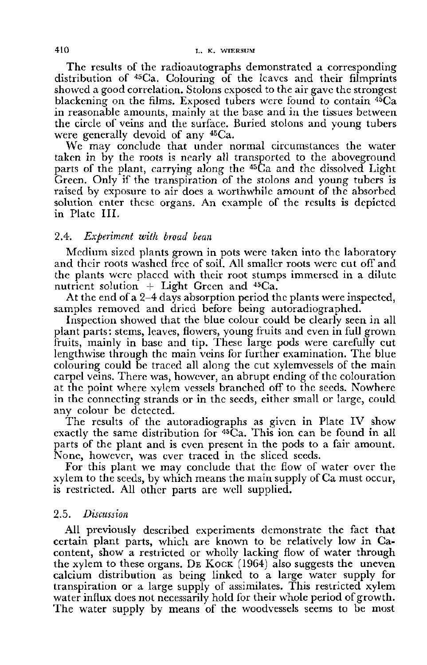### 410 **L. K. WIERSUM**

The results of the radioautographs demonstrated a corresponding distribution of <sup>45</sup>Ca. Colouring of the leaves and their filmp showed a good correlation. Stolons exposed to the air gave the strongest blackening on the films. Exposed tubers were found to contain in reasonable amounts, mainly at the base and in the tissues between the circle of veins and the surface. Buried stolons and young tubers were generally devoid of any 450

We may conclude that under normal circumstances the water taken in by the roots is nearly all transported to the aboveground parts of the plant, carrying along the <sup>45</sup>Ca and the dissolved Green. Only if the transpiration of the stolons and young tubers is raised by exposure to air does a worthwhile amount of the absorbed solution enter these organs. An example of the results is depicted in Plate III.

### 2.4. *Experiment with broad bean*

Medium sized plants grown in pots were taken into the laboratory and their roots washed free of soil. All smaller roots were cut off and the plants were placed with their root stumps immersed in a dilute nutrient solution + Light Green and  $45$ 

At the end of a 2-4 days absorption period the plants were inspected, samples removed and dried before being autoradiographed.

Inspection showed that the blue colour could be clearly seen in all plant parts : stems, leaves, flowers, young fruits and even in full grown fruits, mainly in base and tip. These large pods were carefully cut lengthwise through the main veins for further examination. The blue colouring could be traced all along the cut xylemvessels of the main carpel veins. There was, however, an abrupt ending of the colouration at the point where xylem vessels branched off to the seeds. Nowhere in the connecting strands or in the seeds, either small or large, could any colour be detected.

The results of the autoradiographs as given in Plate IV show exactly the same distribution for <sup>45</sup>Ca. This ion can be found parts of the plant and is even present in the pods to a fair amount. None, however, was ever traced in the sliced seeds.

For this plant we may conclude that the flow of water over the xylem to the seeds, by which means the main supply of Ca must occur, is restricted. All other parts are well supplied.

# 2.5. *Discussion*

All previously described experiments demonstrate the fact that certain plant parts, which are known to be relatively low in Cacontent, show a restricted or wholly lacking flow of water through the xylem to these organs. De Kock  $(1964)$  also suggests the uneven calcium distribution as being linked to a large water supply for transpiration or a large supply of assimilates. This restricted xylem water influx does not necessarily hold for their whole period of growth. The water supply by means of the woodvessels seems to be most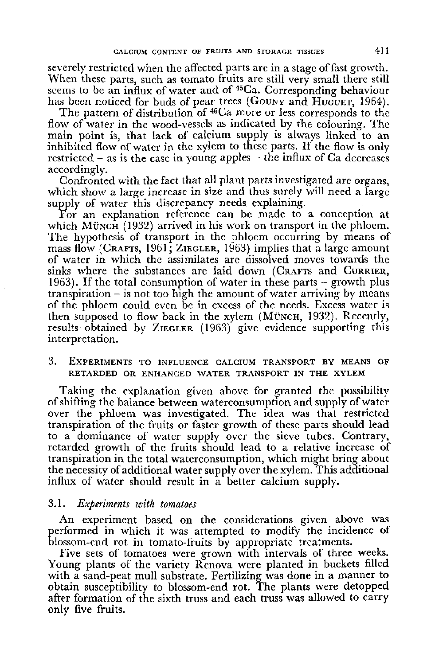severely restricted when the affected parts are in a stage of fast growth. When these parts, such as tomato fruits are still very small there still seems to be an influx of water and of <sup>45</sup>Ca. Corresponding beha has been noticed for buds of pear trees (GOUNY and HUGUET, 1964).

The pattern of distribution of <sup>45</sup>Ca more or less corresponds flow of water in the wood-vessels as indicated by the colouring. The main point is, that lack of calcium supply is always linked to an inhibited flow of water in the xylem to these parts. If the flow is only  $restricted - as$  is the case in young apples  $-$  the influx of  $Ca$  decreases accordingly.

Confronted with the fact that all plant parts investigated are organs, which show a large increase in size and thus surely will need a large supply of water this discrepancy needs explaining.

For an explanation reference can be made to a conception at which Münch (1932) arrived in his work on transport in the phloem. The hypothesis of transport in the phloem occurring by means of mass flow (CRAFTS, 1961; ZIEGLER, 1963) implies that a large amount of water in which the assimilates are dissolved moves towards the sinks where the substances are laid down (CRAFTS and CURRIER, 1963). If the total consumption of water in these parts - growth plus  $transpiration - is not too high the amount of water arriving by means$ of the phloem could even be in excess of the needs. Excess water is then supposed to flow back in the xylem (MÜNCH, 1932). Recently, results obtained by ZIEGLER (1963) give evidence supporting this interpretation.

3. EXPERIMENTS TO INFLUENCE CALCIUM TRANSPORT BY MEANS OF RETARDED OR ENHANCED WATER TRANSPORT IN THE XYLEM

Taking the explanation given above for granted the possibility of shifting the balance between waterconsumption and supply of water over the phloem was investigated. The idea was that restricted transpiration of the fruits or faster growth of these parts should lead to a dominance of water supply over the sieve tubes. Contrary, retarded growth of the fruits should lead to a relative increase of transpiration in the total waterconsumption, which might bring about the necessity of additional water supply over the xylem. This additional influx of water should result in a better calcium supply.

### 3.1. *Experiments with tomatoes*

An experiment based on the considerations given above was performed in which it was attempted to modify the incidence of blossom-end rot in tomato-fruits by appropriate treatments.

Five sets of tomatoes were grown with intervals of three weeks. Young plants of the variety Rénova were planted in buckets filled with a sand-peat mull substrate. Fertilizing was done in a manner to obtain susceptibility to blossom-end rot. The plants were detopped after formation of the sixth truss and each truss was allowed to carry only five fruits.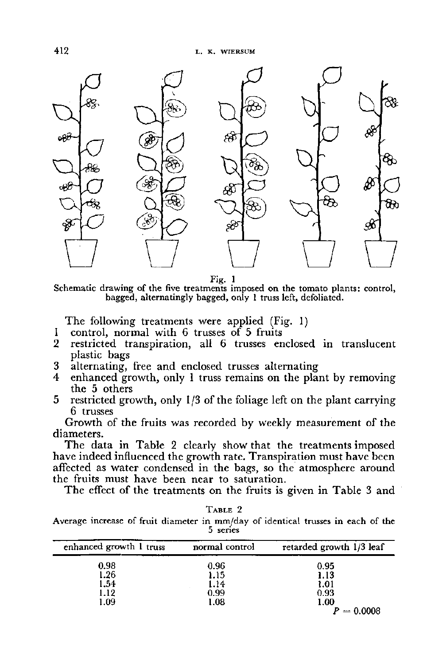

Fig. 1

Schematic drawing of the five treatments imposed on the tomato plants: control, bagged, alternatingly bagged, only 1 truss left, defoliated.

The following treatments were applied (Fig. 1)

- 1 control, normal with 6 trusses of 5 fruits
- 2 restricted transpiration, all 6 trusses enclosed in translucent plastic bags
- 3 alternating, free and enclosed trusses alternating
- enhanced growth, only 1 truss remains on the plant by removing the 5 others
- 5 restricted growth, only 1/3 of the foliage left on the plant carrying 6 trusses

Growth of the fruits was recorded by weekly measurement of the diameters.

The data in Table 2 clearly show that the treatments imposed have indeed influenced the growth rate. Transpiration must have been affected as water condensed in the bags, so the atmosphere around the fruits must have been near to saturation.

The effect of the treatments on the fruits is given in Table 3 and

| н |  |
|---|--|
|   |  |

Average increase of fruit diameter in mm/day of identical trusses in each of the 5 series

| enhanced growth 1 truss | normal control | retarded growth 1/3 leaf |
|-------------------------|----------------|--------------------------|
| 0.98                    | 0.96           | 0.95                     |
| 1.26                    | 1.15           | 1.13                     |
| 1,54                    | 1.14           | 1.01                     |
| 1.12                    | 0.99           | 0.93                     |
| 1.09                    | 1.08           | 1.00                     |
|                         |                | $P = 0.0008$             |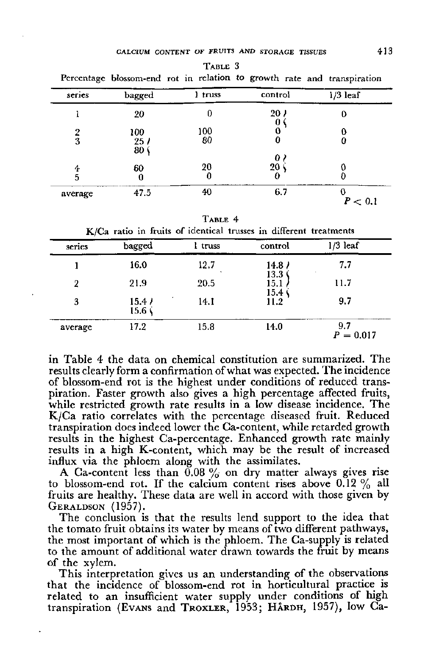|               |                         |         | Percentage blossom-end rot in relation to growth rate and transpiration |            |
|---------------|-------------------------|---------|-------------------------------------------------------------------------|------------|
| series        | bagged                  | l truss | control                                                                 | $1/3$ leaf |
|               | 20                      |         | 20.                                                                     |            |
|               | 100                     | 100     |                                                                         |            |
| $\frac{2}{3}$ | 25 /<br>80 <sub>1</sub> | 80      |                                                                         |            |
| 4             | 60                      | 20      | 20                                                                      |            |
| 5             |                         | 0       |                                                                         |            |
| average       | 47.5                    | 40      | 6.7                                                                     | P < 0.1    |

TABLE 4

|  |  |  |  |  |  |  |  |  | K/Ca ratio in fruits of identical trusses in different treatments |
|--|--|--|--|--|--|--|--|--|-------------------------------------------------------------------|
|--|--|--|--|--|--|--|--|--|-------------------------------------------------------------------|

| series         | bagged                      | l truss | control       | $1/3$ leaf         |
|----------------|-----------------------------|---------|---------------|--------------------|
|                | 16.0                        | 12.7    | 14.8)<br>13.3 | 7.7                |
| $\overline{2}$ | 21.9                        | 20.5    | 15.1<br>15.4  | 11.7               |
| 3              | 15.4 /<br>15.6 <sub>1</sub> | 14.1    | 11.2          | 9.7                |
| average        | 17.2                        | 15.8    | 14.0          | 9.7<br>$P = 0.017$ |

in Table 4 the data on chemical constitution are summarized. The results clearly form a confirmation of what was expected. The incidence of blossom-end rot is the highest under conditions of reduced transpiration. Faster growth also gives a high percentage affected fruits, while restricted growth rate results in a low disease incidence. The K/Ca ratio correlates with the percentage diseased fruit. Reduced transpiration does indeed lower the Ca-content, while retarded growth results in the highest Ca-percentage. Enhanced growth rate mainly results in a high K-content, which may be the result of increased influx via the phloem along with the assimilates.

A Ca-content less than  $0.08\%$  on dry matter always gives rise to blossom-end rot. If the calcium content rises above  $0.12\%$  all fruits are healthy. These data are well in accord with those given by GERALDSON (1957).

The conclusion is that the results lend support to the idea that the tomato fruit obtains its water by means of two different pathways, the most important of which is the phloem. The Ca-supply is related to the amount of additional water drawn towards the fruit by means of the xylem.

This interpretation gives us an understanding of the observations that the incidence of blossom-end rot in horticultural practice is related to an insufficient water supply under conditions of high transpiration (EVANS and TROXLER, 1953; HÄRDH, 1957), low Ca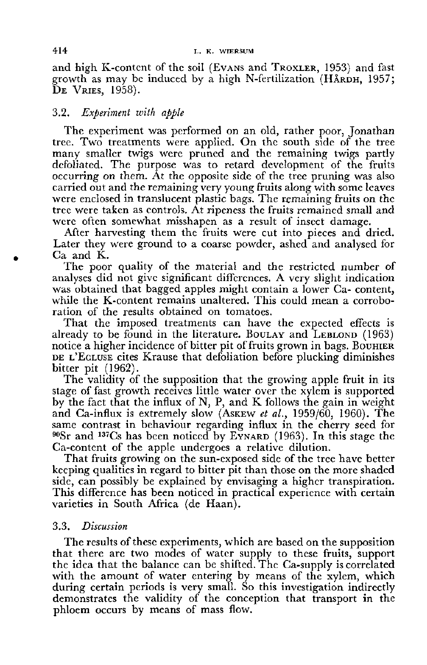and high K-content of the soil (EVANS and TROXLER, 1953) and fast growth as may be induced by a high N-fertilization (HÂRDH, 1957;  $De$  Vries, 1958).

# 3.2. *Experiment with apple*

The experiment was performed on an old, rather poor, Jonathan tree. Two treatments were applied. On the south side of the tree many smaller twigs were pruned and the remaining twigs partly defoliated. The purpose was to retard development of the fruits occurring on them. At the opposite side of the tree pruning was also carried out and the remaining very young fruits along with some leaves were enclosed in translucent plastic bags. The remaining fruits on the tree were taken as controls. At ripeness the fruits remained small and were often somewhat misshapen as a result of insect damage.

After harvesting them the fruits were cut into pieces and dried. Later they were ground to a coarse powder, ashed and analysed for Ca and K.

The poor quality of the material and the restricted number of analyses did not give significant differences. A very slight indication was obtained that bagged apples might contain a lower Ca- content, while the K-content remains unaltered. This could mean a corroboration of the results obtained on tomatoes.

That the imposed treatments can have the expected effects is already to be found in the literature. BOULAY and LEBLOND (1963) notice a higher incidence of bitter pit of fruits grown in bags. BOUHIER DE L'ECLUSE cites Krause that defoliation before plucking diminishes bitter pit (1962).

The validity of the supposition that the growing apple fruit in its stage of fast growth receives little water over the xylem is supported by the fact that the influx of N, P, and K follows the gain in weight and Ca-influx is extremely slow (ASKEW *et al.,* 1959/60, 1960). The same contrast in behaviour regarding influx in the cherry seed for 90Sr and <sup>137</sup>Cs has been noticed by EYNARD (1963). In this sta Ca-content of the apple undergoes a relative dilution.

That fruits growing on the sun-exposed side of the tree have better keeping qualities in regard to bitter pit than those on the more shaded side, can possibly be explained by envisaging a higher transpiration. This difference has been noticed in practical experience with certain varieties in South Africa (de Haan).

# 3.3. *Discussion*

The results of these experiments, which are based on the supposition that there are two modes of water supply to these fruits, support the idea that the balance can be shifted. The Ca-supply is correlated with the amount of water entering by means of the xylem, which during certain periods is very small. So this investigation indirectly demonstrates the validity of the conception that transport in the phloem occurs by means of mass flow.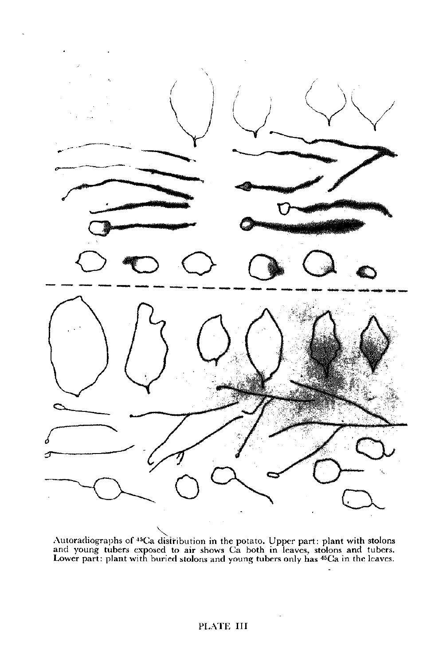

Autoradiographs of <sup>45</sup>Ca distribution in the potato. Upper part: plant with s and young tubers exposed to air shows Ca both in leaves, stolons and Lower part: plant with buried stolons and young tubers only has <sup>45</sup>Ca in the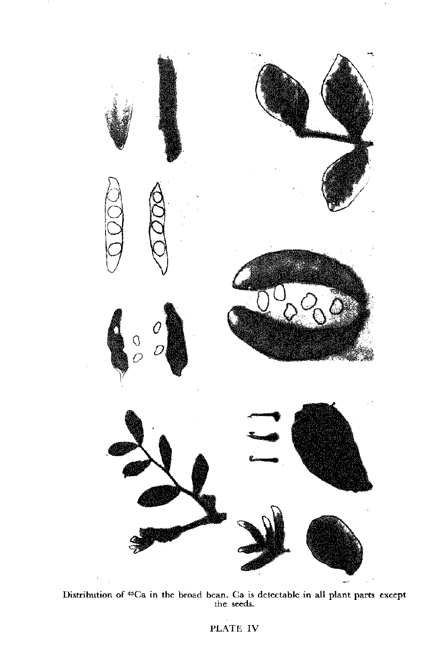

Distribution of <sup>45</sup>Ca in the broad bean. Ca is detectable in all plant part the seeds.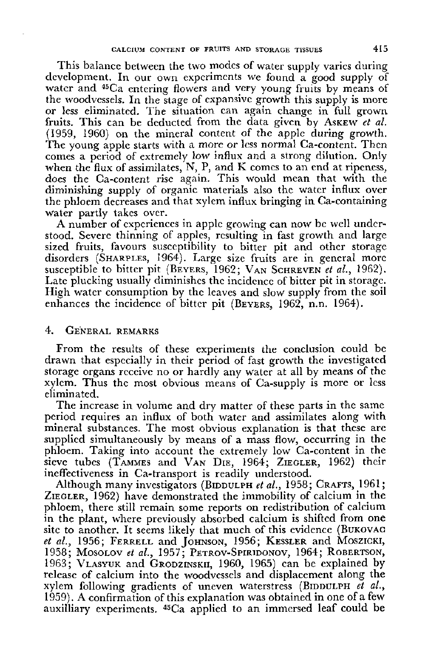This balance between the two modes of water supply varies during development. In our own experiments we found a good supply of water and <sup>45</sup>Ca entering flowers and very young fruits by me the woodvessels. In the stage of expansive growth this supply is more or less eliminated. The situation can again change in full grown fruits. This can be deducted from the data given by ASKEW *et al.*  (1959, 1960) on the mineral content of the apple during growth. The young apple starts with a more or less normal Ca-content. Then comes a period of extremely low influx and a strong dilution. Only when the flux of assimilates,  $N$ ,  $P$ , and  $K$  comes to an end at ripeness, does the Ca-content rise again. This would mean that with the diminishing supply of organic materials also the water influx over the phloem decreases and that xylem influx bringing in Ca-containing water partly takes over.

A number of experiences in apple growing can now be well understood. Severe thinning of apples, resulting in fast growth and large sized fruits, favours susceptibility to bitter pit and other storage disorders (SHARPLES, 1964). Large size fruits are in general more susceptible to bitter pit (BEYERS, 1962; VAN SCHREVEN *et al.,* 1962). Late plucking usually diminishes the incidence of bitter pit in storage. High water consumption by the leaves and slow supply from the soil enhances the incidence of bitter pit (BEYERS, 1962, n.n. 1964).

### 4. GENERAL REMARKS

From the results of these experiments the conclusion could be drawn that especially in their period of fast growth the investigated storage organs receive no or hardly any water at all by means of the xylem. Thus the most obvious means of Ca-supply is more or less eliminated.

The increase in volume and dry matter of these parts in the same period requires an influx of both water and assimilates along with mineral substances. The most obvious explanation is that these are supplied simultaneously by means of a mass flow, occurring in the phloem. Taking into account the extremely low Ca-content in the sieve tubes (TAMMES and VAN DIE, 1964; ZIEGLER, 1962) their ineffectiveness in Ca-transport is readily understood.

Although many investigators (BIDDULPH *et al.,* 1958; CRAFTS, 1961; ZIEGLER, 1962) have demonstrated the immobility of calcium in the phloem, there still remain some reports on redistribution of calcium in the plant, where previously absorbed calcium is shifted from one site to another. It seems likely that much of this evidence (BUKOVAG *et al.,* 1956; FERRELL and JOHNSON, 1956; KESSLER and MOSZICKI, 1958; MOSOLOV *et al,* 1957; PETROV-SPIRIDONOV, 1964; ROBERTSON, 1963; VLASYUK and GRODZINSKII, 1960, 1965) can be explained by release of calcium into the woodvessels and displacement along the xylem following gradients of uneven waterstress (BIDDULPH *et al.,*  1959). A confirmation of this explanation was obtained in one of a few auxilliary experiments. <sup>45</sup>Ca applied to an immersed leaf coul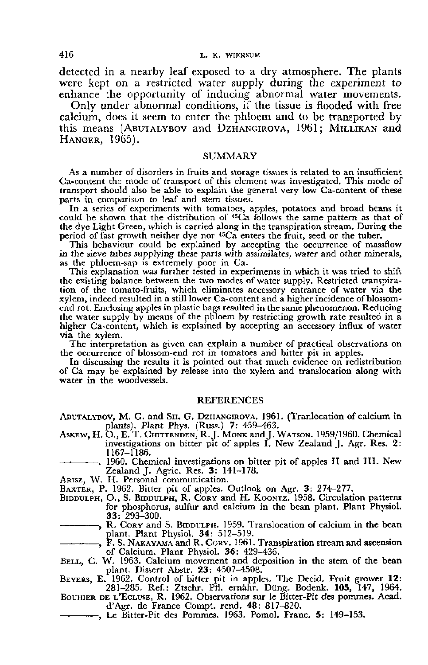detected in a nearby leaf exposed to a dry atmosphere. The plants were kept on a restricted water supply during the experime enhance the opportunity of inducing abnormal water movem

Only under abnormal conditions, if the tissue is flooded with calcium, does it seem to enter the phloem and to be transported by this means (ABUTALYBOV and DZHANGIROVA, 1961; MILLIKAN and HANGER, 1965).

#### SUMMAR Y

As a number of disorders in fruits and storage tissues is related to an insufficient Ca-content the mode of transport of this element was investigated. This mode of transport should also be able to explain the general very low Ca-content of these parts in comparison to leaf and stem tissues.

In a series of experiments with tomatoes, apples, potatoes and broad b could be shown that the distribution of <sup>45</sup>Ca follows the same pattern as the dye Light Green, which is carried along in the transpiration stream. During the period of fast growth neither dye nor <sup>45</sup>Ca enters the fruit, seed or th

This behaviour could be explained by accepting the occurrence of massflow in the sieve tubes supplying these parts with assimilates, water and other minerals, as the phloem-sap is extremely poor in Ca.

This explanation was further tested in experiments in which it was tried to shift the existing balance between the two modes of water supply. Restricted transpiration of the tomato-fruits, which eliminates accessory entrance of water via the xylem, indeed resulted in a still lower Ca-content and a higher incidence of blossomend rot. Enclosing apples in plastic bags resulted in the same phenomenon. Reducing the water supply by means of the phloem by restricting growth rate resulted in a higher Ca-content, which is explained by accepting an accessory influx of water via the xylem.

The interpretation as given can explain a number of practical observations on the occurrence of blossom-end rot in tomatoes and bitter pit in apples.

In discussing the results it is pointed out that much evidence on redistribution of Ca may be explained by release into the xylem and translocation along with water in the woodvessels.

#### REFERENCES

ABUTALYBOV, M. G. and SH. G. DZHANGIROVA. 1961. (Tranlocation of calciplants). Plant Phys. (Russ.) 7: 459–463.

- Askew, H. O., E. T. CHITTENDEN, R. J. MONK and J. WATSON. 1959/1960. Chemical process investigations on bitter pit of apples I. New Zealand J. Agr. R 1167-1186.
- . 1960. Chemical investigations on bitter pit of apples II and III. New Zealand J. Agric. Res. 3: 141-178.
- ARISZ, W. H. Personal communication.
- BAXTER, P. 1962. Bitter pit of apples. Outlook on Agr. 3: 274-277.
- BIDDULPH, O., S. BIDDULPH, R. CORY and H. KOONTZ. 1958. Circulation patterns for phosphorus, sulfur and calcium in the bean plant. Plant Physiol.  $33: 293-300.$
- , R. CORY and S. BIDDULPH. 1959. Translocation of calcium in the bean plant. Plant Physiol. 34: 512-519.
- , F. S. NAKAYAMA and R. CORY. 1961. Transpiration stream and ascension of Calcium. Plant Physiol. 36: 429-436.

BELL, C. W. 1963. Calcium movement and deposition in the stem of the bean plant. Dissert Abstr. 23: 4507-4508.

BEYERS, E. 1962. Control of bitter pit in apples. The Decid. Fruit grov 281-285. Ref.: Ztschr. Pfl. ernähr. Düng. Bodenk. **105,** 147, 1964.

BOUHIER DE L'ECLUSE, R. 1962. Observations sur le Bitter-Pit des pommes. Acad. d'Agr. de France Compt. rend. 48: 817-820.

—, Le Bitter-Pit des Pommes. 1963. Pomol. Franc. 5: 149-153.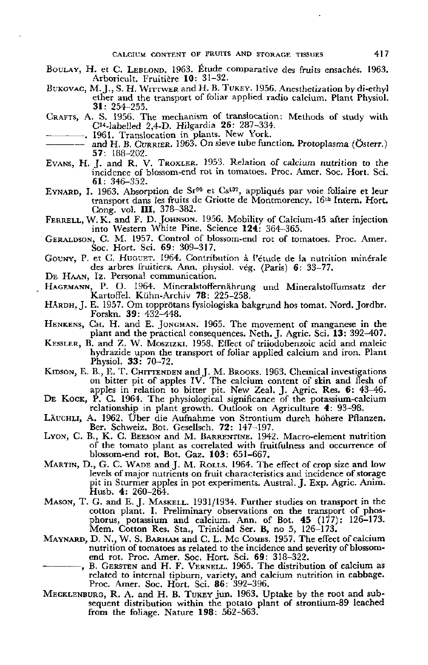- BOULAY, H. et C. LEBLOND. 1963. Étude comparative des fruits ensachés. 1963. Arboricult. Fruitière 10: 31-32.
- BUKOVAC, M. J., S. H. WITTWER and H. B. TUKEY. 1956. Anesthetization by di-ethyl ether and the transport of foliar applied radio calcium. Plant Physiol. **3 1 :** 254-255 .
- CRAFTS, A. S. 1956. The mechanism of translocation: Methods of study with C<sup>14</sup>-labelled 2,4-D. Hilgardia 25: 287-334.
- -. 1961. Translocation in plants. New York.
- and H. B. CURRIER. 1963. On sieve tube function. Protoplasma (Österr.)  $57:188-202$ .
- EVANS, H. J. and R. V. TROXLER. 1953. Relation of calcium nutrition to the incidence of blossom-end rot in tomatoes. Proc. Amer. Soc. Hort. Sci. 61: 346-352
- EYNARD, I. 1963. Absorption de Sr<sup>90</sup> et Cs<sup>137</sup>, appliqués par voie foliaire transport dans les fruits de Griotte de Montmorency. 16<sup>th</sup> Intern. l<br>Cong. vol. **III**, 378–382.
- FERRELL, W. K. and F. D. JOHNSON. 1956. Mobility of Calcium-45 after injection into Western White Pine, Science **124 :** 364–365.
- GERALDSON, C. M. 1957. Control of blossom-end rot of tomatoes. Proc. Amer. Soc. Hort. Sci. 69: 309-317.
- GOUNY. P. et C. HUGUET. 1964. Contribution à l'étude de la nutrition minérale des arbres fruitiers. Ann. physiol. vég. (Paris) 6: 33-77.
- DE HAAN, Iz. Personal communication.
- HAGEMANN, P. O. 1964. Mineralstoffernährung und Mineralstoffumsatz der Kartoffel. Kühn-Archiv 78: 225-258.
- HÅRDH, J. E. 1957. Om topprötans fysiologiska bakgrund hos tomat. Nord. Jordbr. Forskn . **39 :** 432-448 .
- HENKENS, CH. H. and E. JONGMAN. 1965. The movement of manganese in the plant and the practical consequences. Neth. J. Agric. Sci. 13: 392-407.
- KESSLER, B. and Z. W. MOSZIZKI. 1958. Effect of triiodobenzoic acid and maleic hydrazide upon the transport of foliar applied calcium and iron. Plant Physiol. **33 :** 70-72 .
- KIDSON, E. B., E. T. CHITTENDEN and J. M. BROOKS. 1963. Chemical investigations on bitter pit of apples IV. The calcium content of skin and flesh of apples in relation to bitter pit. New Zeal. J. Agric. Res. 6:
- DE Kock, P. C. 1964. The physiological significance of the potassium-cal relationship in plant growth. Outlook on Agriculture 4: 93-98.
- LÄUCHLI, A. 1962. Über die Aufnahme von Strontium durch höhere Pflanzen. Ber. Schweiz. Bot. Gesellsch. 72: 147-197.
- LYON, C. B., K. C. BEESON and M. BARRENTINE. 1942. Macro-element nutrition of the tomato plant as correlated with fruitfulness and occurrence of blossom-en d rot . Bot. Gaz . **103 :** 651-667 .
- MARTIN, D., G. C. WADE and J. M. ROLLS. 1964. The effect of crop size and low levels of major nutrients on fruit characteristics and incidence of storage pit in Sturmer apples in pot experiments. Austral. J. Exp. Agric. Anim.  $H$ usb. 4: 260-264.
- MASON, T. G. and E. J. MASKELL. 1931/1934. Further studies on transport in the cotton plant. I. Preliminary observations on the transport of phosphorus, potassium and calcium. Ann. of Bot.  $45$   $(177)$ :  $126$ -Mem. Cotton Res. Sta., Trinidad Ser. B, no 5, 126-
- MAYNARD, D. N., W. S. BARHAM and C. L. Mc Combs. 1957. The effect of calcium nutrition of tomatoes as related to the incidence and severity of blossomend rot. Proc. Amer. Soc. Hort. Sci. 69: 318–
	- , B. GERSTEN and H. F. VERNELL. 1965. The distribution of calci related to internal tipburn, variety, and calcium nutrition in cabb Proc. Amer. Soc. Hort. Sci. **86**: 392–3
- MECKLENBURG, R. A. and H. B. TUKEY jun. 1963. Uptake by the root and subsequent distribution within the potato plant of strontium-89 lead from the foliage. Nature **198**: 562–56